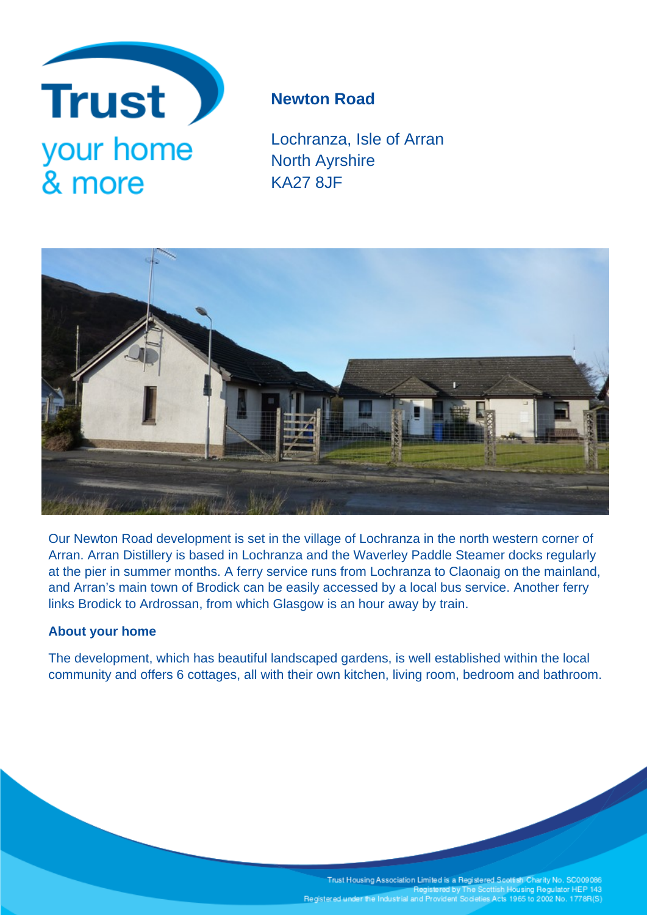

## **Newton Road**

Lochranza, Isle of Arran North Ayrshire KA27 8JF



Our Newton Road development is set in the village of Lochranza in the north western corner of Arran. Arran Distillery is based in Lochranza and the Waverley Paddle Steamer docks regularly at the pier in summer months. A ferry service runs from Lochranza to Claonaig on the mainland, and Arran's main town of Brodick can be easily accessed by a local bus service. Another ferry links Brodick to Ardrossan, from which Glasgow is an hour away by train.

### **About your home**

The development, which has beautiful landscaped gardens, is well established within the local community and offers 6 cottages, all with their own kitchen, living room, bedroom and bathroom.

> Trust Housing Association Limited is a Registered Scottish Charity No. SC009086<br>Registered by The Scottish Housing Regulator HEP 143 Registered under the Industrial and Provident Societies Acts 1965 to 2002 No. 1778R(S)